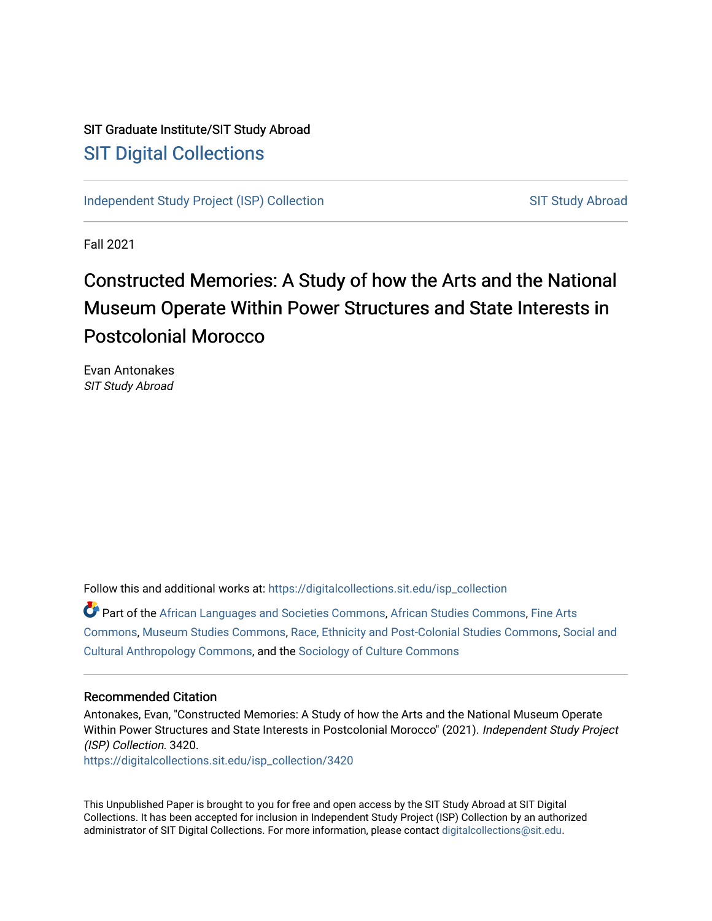# SIT Graduate Institute/SIT Study Abroad [SIT Digital Collections](https://digitalcollections.sit.edu/)

[Independent Study Project \(ISP\) Collection](https://digitalcollections.sit.edu/isp_collection) [SIT Study Abroad](https://digitalcollections.sit.edu/study_abroad) SIT Study Abroad

Fall 2021

# Constructed Memories: A Study of how the Arts and the National Museum Operate Within Power Structures and State Interests in Postcolonial Morocco

Evan Antonakes SIT Study Abroad

Follow this and additional works at: [https://digitalcollections.sit.edu/isp\\_collection](https://digitalcollections.sit.edu/isp_collection?utm_source=digitalcollections.sit.edu%2Fisp_collection%2F3420&utm_medium=PDF&utm_campaign=PDFCoverPages) 

Part of the [African Languages and Societies Commons,](https://network.bepress.com/hgg/discipline/476?utm_source=digitalcollections.sit.edu%2Fisp_collection%2F3420&utm_medium=PDF&utm_campaign=PDFCoverPages) [African Studies Commons](https://network.bepress.com/hgg/discipline/1043?utm_source=digitalcollections.sit.edu%2Fisp_collection%2F3420&utm_medium=PDF&utm_campaign=PDFCoverPages), [Fine Arts](https://network.bepress.com/hgg/discipline/1141?utm_source=digitalcollections.sit.edu%2Fisp_collection%2F3420&utm_medium=PDF&utm_campaign=PDFCoverPages)  [Commons](https://network.bepress.com/hgg/discipline/1141?utm_source=digitalcollections.sit.edu%2Fisp_collection%2F3420&utm_medium=PDF&utm_campaign=PDFCoverPages), [Museum Studies Commons,](https://network.bepress.com/hgg/discipline/1366?utm_source=digitalcollections.sit.edu%2Fisp_collection%2F3420&utm_medium=PDF&utm_campaign=PDFCoverPages) [Race, Ethnicity and Post-Colonial Studies Commons](https://network.bepress.com/hgg/discipline/566?utm_source=digitalcollections.sit.edu%2Fisp_collection%2F3420&utm_medium=PDF&utm_campaign=PDFCoverPages), [Social and](https://network.bepress.com/hgg/discipline/323?utm_source=digitalcollections.sit.edu%2Fisp_collection%2F3420&utm_medium=PDF&utm_campaign=PDFCoverPages)  [Cultural Anthropology Commons,](https://network.bepress.com/hgg/discipline/323?utm_source=digitalcollections.sit.edu%2Fisp_collection%2F3420&utm_medium=PDF&utm_campaign=PDFCoverPages) and the [Sociology of Culture Commons](https://network.bepress.com/hgg/discipline/431?utm_source=digitalcollections.sit.edu%2Fisp_collection%2F3420&utm_medium=PDF&utm_campaign=PDFCoverPages) 

#### Recommended Citation

Antonakes, Evan, "Constructed Memories: A Study of how the Arts and the National Museum Operate Within Power Structures and State Interests in Postcolonial Morocco" (2021). Independent Study Project (ISP) Collection. 3420.

[https://digitalcollections.sit.edu/isp\\_collection/3420](https://digitalcollections.sit.edu/isp_collection/3420?utm_source=digitalcollections.sit.edu%2Fisp_collection%2F3420&utm_medium=PDF&utm_campaign=PDFCoverPages) 

This Unpublished Paper is brought to you for free and open access by the SIT Study Abroad at SIT Digital Collections. It has been accepted for inclusion in Independent Study Project (ISP) Collection by an authorized administrator of SIT Digital Collections. For more information, please contact [digitalcollections@sit.edu](mailto:digitalcollections@sit.edu).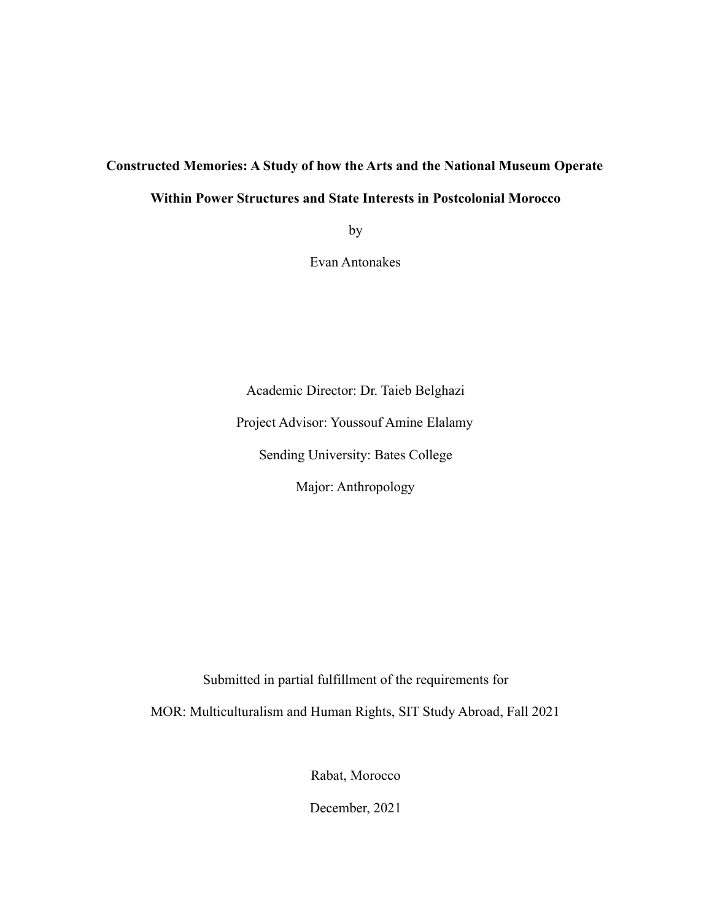## **Constructed Memories: A Study of how the Arts and the National Museum Operate**

## **Within Power Structures and State Interests in Postcolonial Morocco**

by

Evan Antonakes

Academic Director: Dr. Taieb Belghazi Project Advisor: Youssouf Amine Elalamy Sending University: Bates College Major: Anthropology

Submitted in partial fulfillment of the requirements for

MOR: Multiculturalism and Human Rights, SIT Study Abroad, Fall 2021

Rabat, Morocco

December, 2021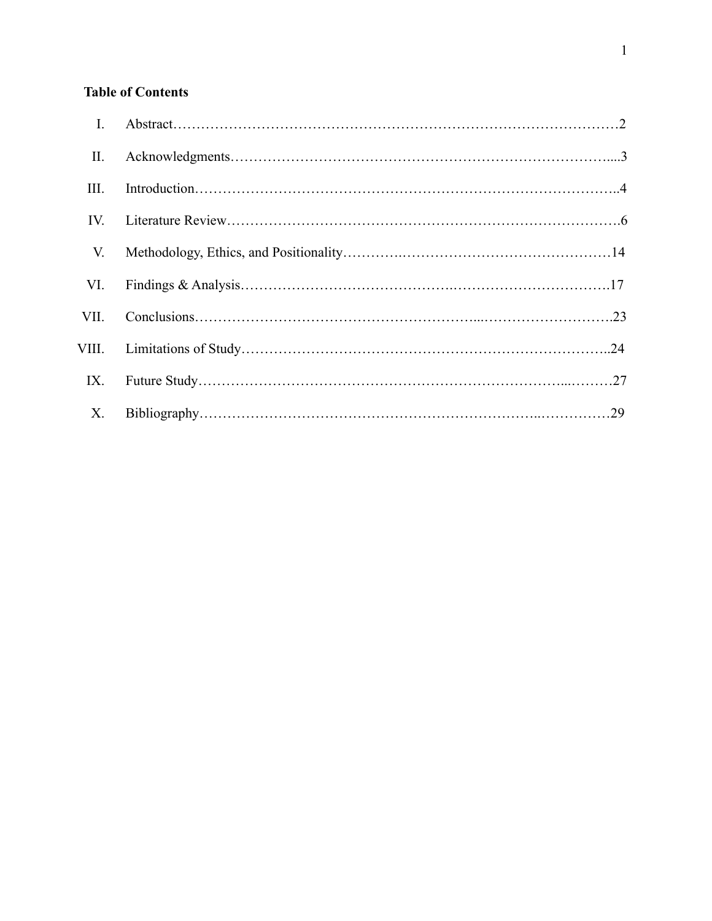# **Table of Contents**

| $\mathbf{I}$ . |  |
|----------------|--|
| II.            |  |
| Ш.             |  |
| IV.            |  |
| V.             |  |
| VI.            |  |
| VII.           |  |
| VIII.          |  |
| IX.            |  |
| X.             |  |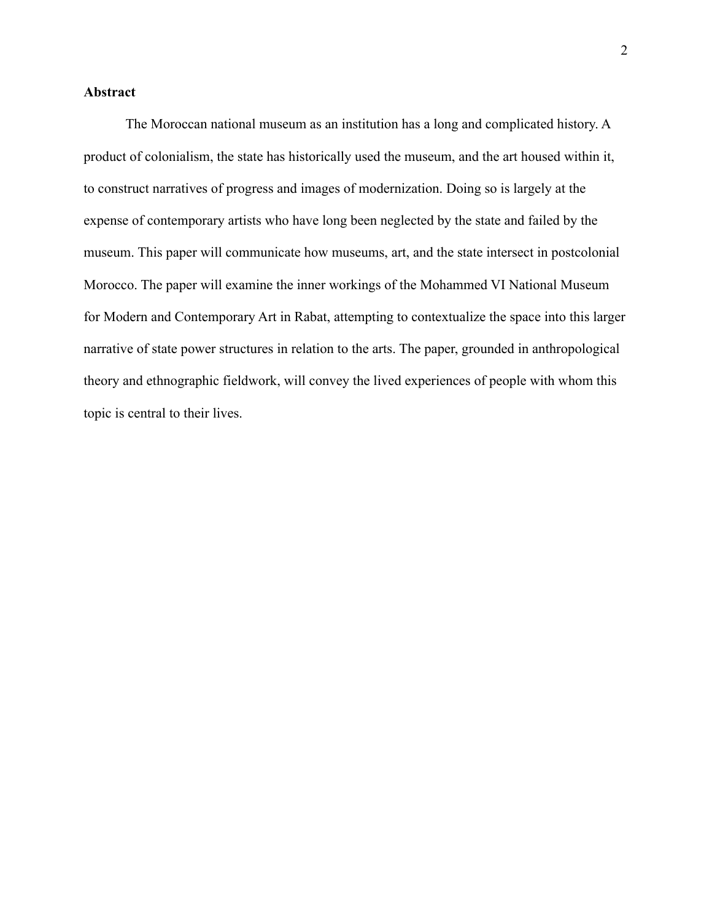### **Abstract**

The Moroccan national museum as an institution has a long and complicated history. A product of colonialism, the state has historically used the museum, and the art housed within it, to construct narratives of progress and images of modernization. Doing so is largely at the expense of contemporary artists who have long been neglected by the state and failed by the museum. This paper will communicate how museums, art, and the state intersect in postcolonial Morocco. The paper will examine the inner workings of the Mohammed VI National Museum for Modern and Contemporary Art in Rabat, attempting to contextualize the space into this larger narrative of state power structures in relation to the arts. The paper, grounded in anthropological theory and ethnographic fieldwork, will convey the lived experiences of people with whom this topic is central to their lives.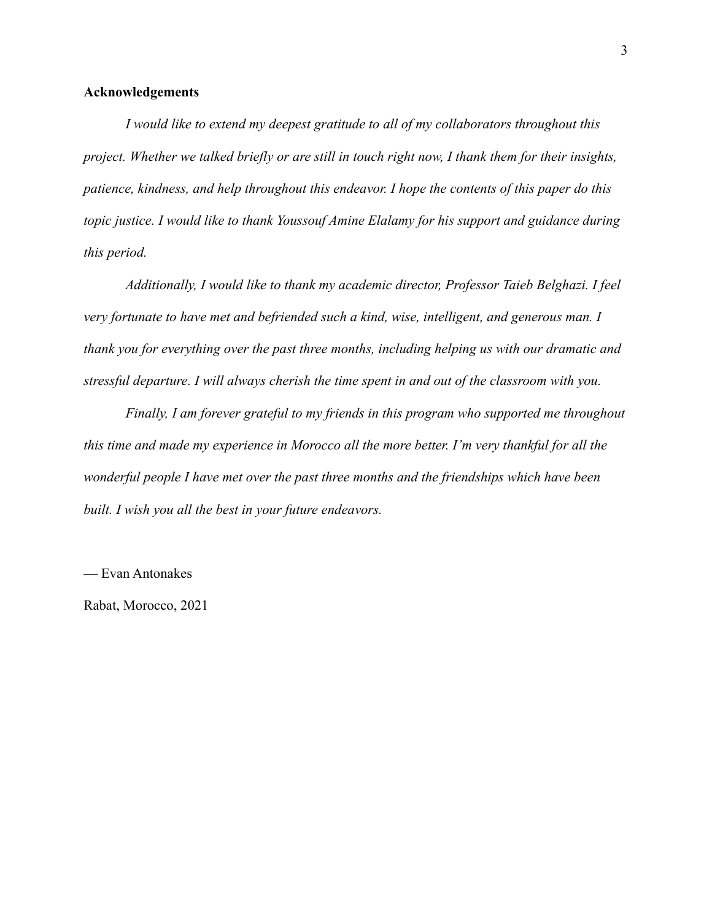#### **Acknowledgements**

*I would like to extend my deepest gratitude to all of my collaborators throughout this project. Whether we talked briefly or are still in touch right now, I thank them for their insights, patience, kindness, and help throughout this endeavor. I hope the contents of this paper do this topic justice. I would like to thank Youssouf Amine Elalamy for his support and guidance during this period.*

*Additionally, I would like to thank my academic director, Professor Taieb Belghazi. I feel very fortunate to have met and befriended such a kind, wise, intelligent, and generous man. I thank you for everything over the past three months, including helping us with our dramatic and stressful departure. I will always cherish the time spent in and out of the classroom with you.*

*Finally, I am forever grateful to my friends in this program who supported me throughout this time and made my experience in Morocco all the more better. I'm very thankful for all the wonderful people I have met over the past three months and the friendships which have been built. I wish you all the best in your future endeavors.*

— Evan Antonakes

Rabat, Morocco, 2021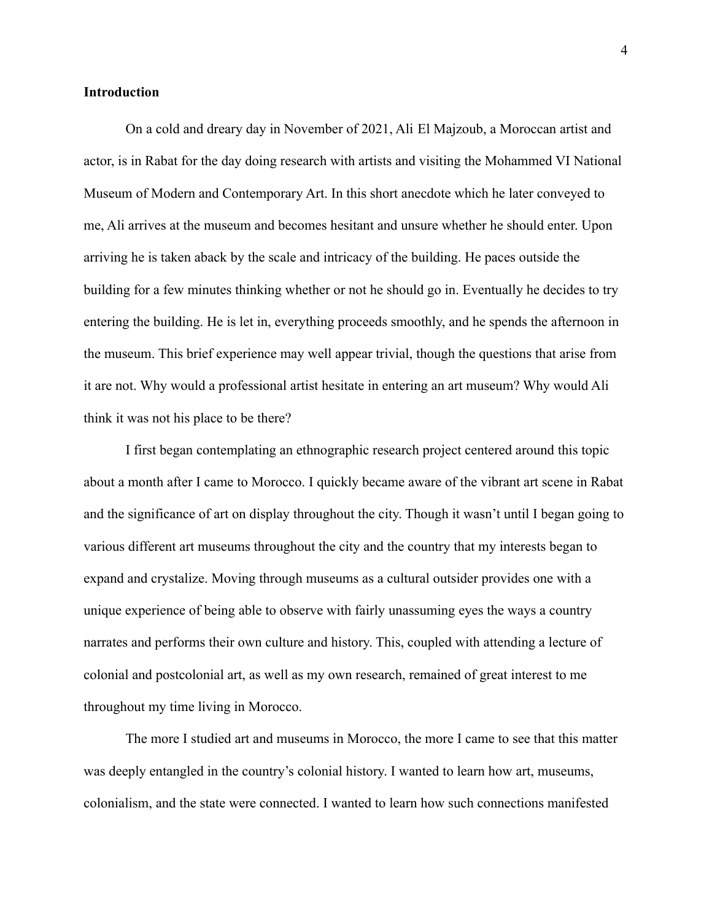#### **Introduction**

On a cold and dreary day in November of 2021, Ali El Majzoub, a Moroccan artist and actor, is in Rabat for the day doing research with artists and visiting the Mohammed VI National Museum of Modern and Contemporary Art. In this short anecdote which he later conveyed to me, Ali arrives at the museum and becomes hesitant and unsure whether he should enter. Upon arriving he is taken aback by the scale and intricacy of the building. He paces outside the building for a few minutes thinking whether or not he should go in. Eventually he decides to try entering the building. He is let in, everything proceeds smoothly, and he spends the afternoon in the museum. This brief experience may well appear trivial, though the questions that arise from it are not. Why would a professional artist hesitate in entering an art museum? Why would Ali think it was not his place to be there?

I first began contemplating an ethnographic research project centered around this topic about a month after I came to Morocco. I quickly became aware of the vibrant art scene in Rabat and the significance of art on display throughout the city. Though it wasn't until I began going to various different art museums throughout the city and the country that my interests began to expand and crystalize. Moving through museums as a cultural outsider provides one with a unique experience of being able to observe with fairly unassuming eyes the ways a country narrates and performs their own culture and history. This, coupled with attending a lecture of colonial and postcolonial art, as well as my own research, remained of great interest to me throughout my time living in Morocco.

The more I studied art and museums in Morocco, the more I came to see that this matter was deeply entangled in the country's colonial history. I wanted to learn how art, museums, colonialism, and the state were connected. I wanted to learn how such connections manifested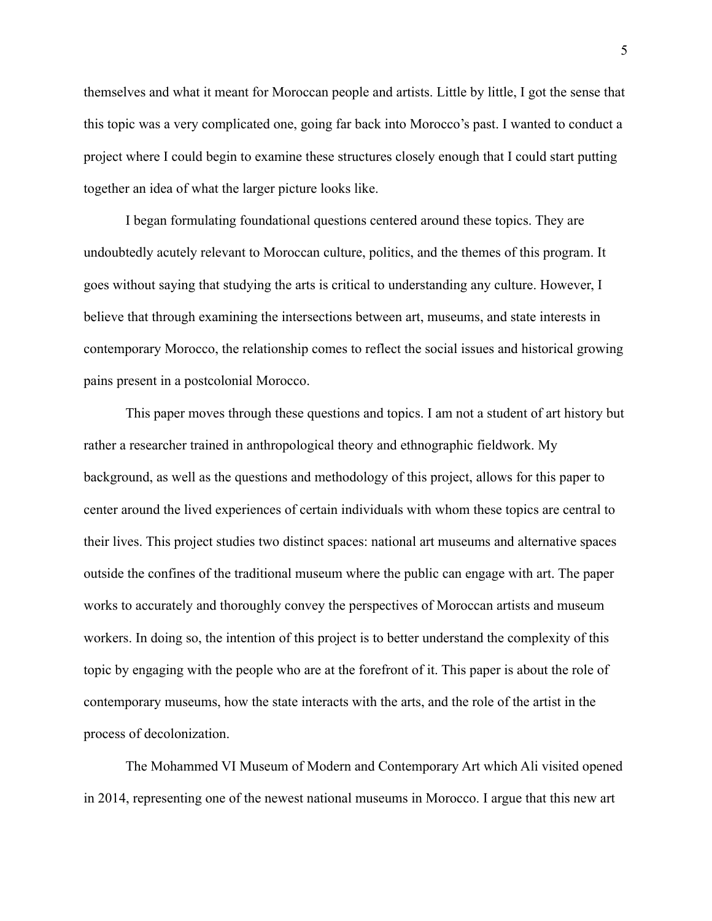themselves and what it meant for Moroccan people and artists. Little by little, I got the sense that this topic was a very complicated one, going far back into Morocco's past. I wanted to conduct a project where I could begin to examine these structures closely enough that I could start putting together an idea of what the larger picture looks like.

I began formulating foundational questions centered around these topics. They are undoubtedly acutely relevant to Moroccan culture, politics, and the themes of this program. It goes without saying that studying the arts is critical to understanding any culture. However, I believe that through examining the intersections between art, museums, and state interests in contemporary Morocco, the relationship comes to reflect the social issues and historical growing pains present in a postcolonial Morocco.

This paper moves through these questions and topics. I am not a student of art history but rather a researcher trained in anthropological theory and ethnographic fieldwork. My background, as well as the questions and methodology of this project, allows for this paper to center around the lived experiences of certain individuals with whom these topics are central to their lives. This project studies two distinct spaces: national art museums and alternative spaces outside the confines of the traditional museum where the public can engage with art. The paper works to accurately and thoroughly convey the perspectives of Moroccan artists and museum workers. In doing so, the intention of this project is to better understand the complexity of this topic by engaging with the people who are at the forefront of it. This paper is about the role of contemporary museums, how the state interacts with the arts, and the role of the artist in the process of decolonization.

The Mohammed VI Museum of Modern and Contemporary Art which Ali visited opened in 2014, representing one of the newest national museums in Morocco. I argue that this new art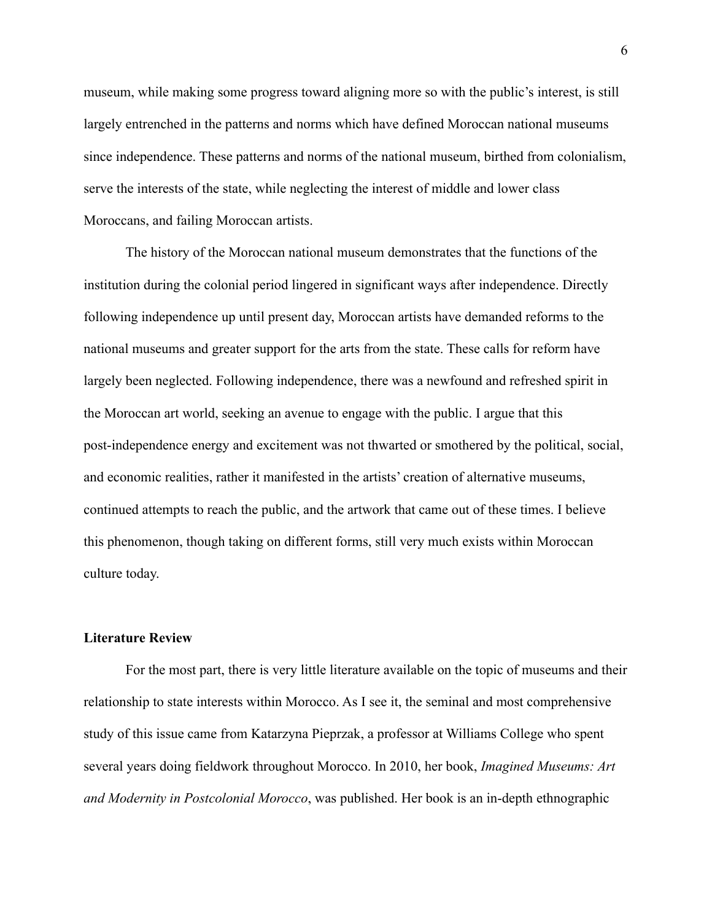museum, while making some progress toward aligning more so with the public's interest, is still largely entrenched in the patterns and norms which have defined Moroccan national museums since independence. These patterns and norms of the national museum, birthed from colonialism, serve the interests of the state, while neglecting the interest of middle and lower class Moroccans, and failing Moroccan artists.

The history of the Moroccan national museum demonstrates that the functions of the institution during the colonial period lingered in significant ways after independence. Directly following independence up until present day, Moroccan artists have demanded reforms to the national museums and greater support for the arts from the state. These calls for reform have largely been neglected. Following independence, there was a newfound and refreshed spirit in the Moroccan art world, seeking an avenue to engage with the public. I argue that this post-independence energy and excitement was not thwarted or smothered by the political, social, and economic realities, rather it manifested in the artists' creation of alternative museums, continued attempts to reach the public, and the artwork that came out of these times. I believe this phenomenon, though taking on different forms, still very much exists within Moroccan culture today.

#### **Literature Review**

For the most part, there is very little literature available on the topic of museums and their relationship to state interests within Morocco. As I see it, the seminal and most comprehensive study of this issue came from Katarzyna Pieprzak, a professor at Williams College who spent several years doing fieldwork throughout Morocco. In 2010, her book, *Imagined Museums: Art and Modernity in Postcolonial Morocco*, was published. Her book is an in-depth ethnographic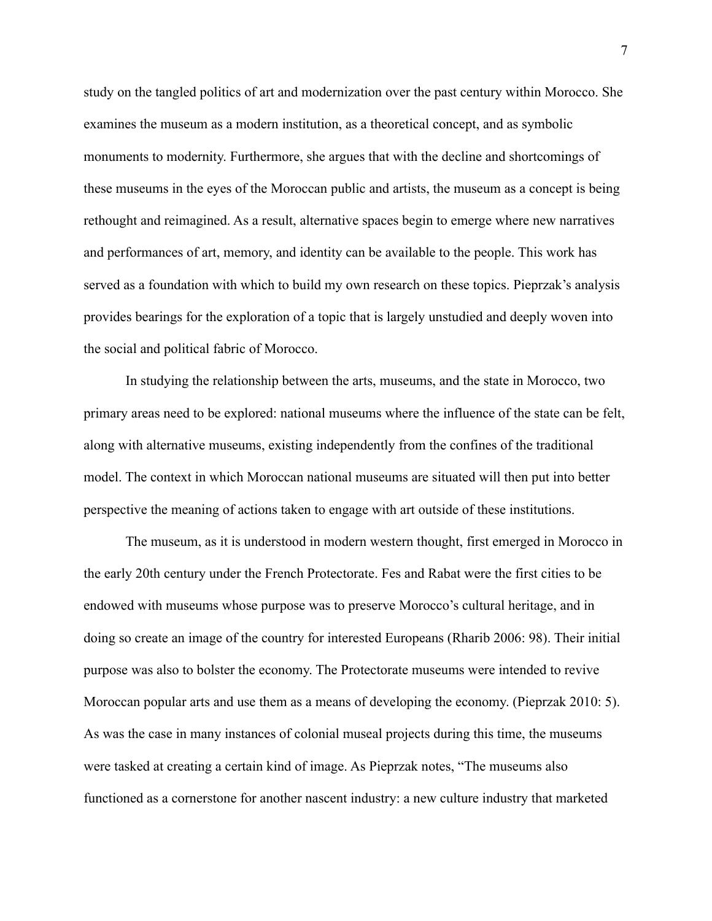study on the tangled politics of art and modernization over the past century within Morocco. She examines the museum as a modern institution, as a theoretical concept, and as symbolic monuments to modernity. Furthermore, she argues that with the decline and shortcomings of these museums in the eyes of the Moroccan public and artists, the museum as a concept is being rethought and reimagined. As a result, alternative spaces begin to emerge where new narratives and performances of art, memory, and identity can be available to the people. This work has served as a foundation with which to build my own research on these topics. Pieprzak's analysis provides bearings for the exploration of a topic that is largely unstudied and deeply woven into the social and political fabric of Morocco.

In studying the relationship between the arts, museums, and the state in Morocco, two primary areas need to be explored: national museums where the influence of the state can be felt, along with alternative museums, existing independently from the confines of the traditional model. The context in which Moroccan national museums are situated will then put into better perspective the meaning of actions taken to engage with art outside of these institutions.

The museum, as it is understood in modern western thought, first emerged in Morocco in the early 20th century under the French Protectorate. Fes and Rabat were the first cities to be endowed with museums whose purpose was to preserve Morocco's cultural heritage, and in doing so create an image of the country for interested Europeans (Rharib 2006: 98). Their initial purpose was also to bolster the economy. The Protectorate museums were intended to revive Moroccan popular arts and use them as a means of developing the economy. (Pieprzak 2010: 5). As was the case in many instances of colonial museal projects during this time, the museums were tasked at creating a certain kind of image. As Pieprzak notes, "The museums also functioned as a cornerstone for another nascent industry: a new culture industry that marketed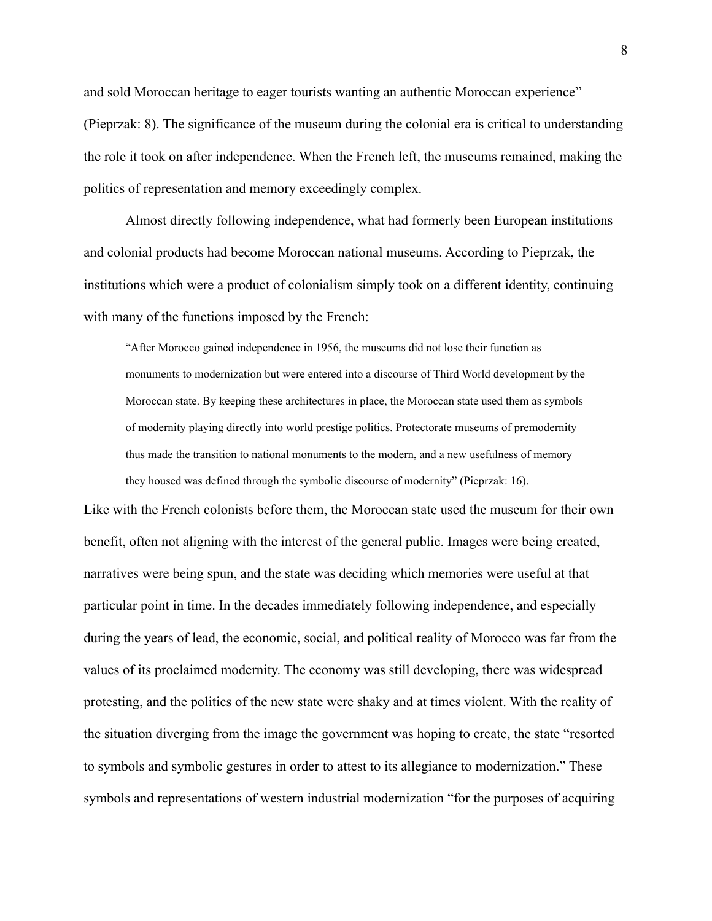and sold Moroccan heritage to eager tourists wanting an authentic Moroccan experience" (Pieprzak: 8). The significance of the museum during the colonial era is critical to understanding the role it took on after independence. When the French left, the museums remained, making the politics of representation and memory exceedingly complex.

Almost directly following independence, what had formerly been European institutions and colonial products had become Moroccan national museums. According to Pieprzak, the institutions which were a product of colonialism simply took on a different identity, continuing with many of the functions imposed by the French:

"After Morocco gained independence in 1956, the museums did not lose their function as monuments to modernization but were entered into a discourse of Third World development by the Moroccan state. By keeping these architectures in place, the Moroccan state used them as symbols of modernity playing directly into world prestige politics. Protectorate museums of premodernity thus made the transition to national monuments to the modern, and a new usefulness of memory they housed was defined through the symbolic discourse of modernity" (Pieprzak: 16).

Like with the French colonists before them, the Moroccan state used the museum for their own benefit, often not aligning with the interest of the general public. Images were being created, narratives were being spun, and the state was deciding which memories were useful at that particular point in time. In the decades immediately following independence, and especially during the years of lead, the economic, social, and political reality of Morocco was far from the values of its proclaimed modernity. The economy was still developing, there was widespread protesting, and the politics of the new state were shaky and at times violent. With the reality of the situation diverging from the image the government was hoping to create, the state "resorted to symbols and symbolic gestures in order to attest to its allegiance to modernization." These symbols and representations of western industrial modernization "for the purposes of acquiring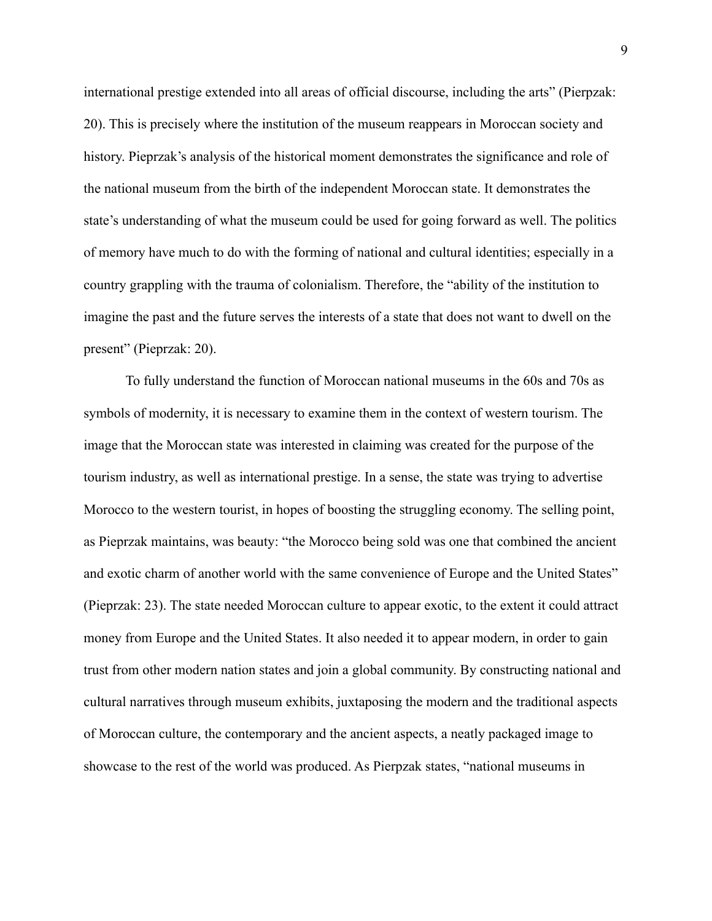international prestige extended into all areas of official discourse, including the arts" (Pierpzak: 20). This is precisely where the institution of the museum reappears in Moroccan society and history. Pieprzak's analysis of the historical moment demonstrates the significance and role of the national museum from the birth of the independent Moroccan state. It demonstrates the state's understanding of what the museum could be used for going forward as well. The politics of memory have much to do with the forming of national and cultural identities; especially in a country grappling with the trauma of colonialism. Therefore, the "ability of the institution to imagine the past and the future serves the interests of a state that does not want to dwell on the present" (Pieprzak: 20).

To fully understand the function of Moroccan national museums in the 60s and 70s as symbols of modernity, it is necessary to examine them in the context of western tourism. The image that the Moroccan state was interested in claiming was created for the purpose of the tourism industry, as well as international prestige. In a sense, the state was trying to advertise Morocco to the western tourist, in hopes of boosting the struggling economy. The selling point, as Pieprzak maintains, was beauty: "the Morocco being sold was one that combined the ancient and exotic charm of another world with the same convenience of Europe and the United States" (Pieprzak: 23). The state needed Moroccan culture to appear exotic, to the extent it could attract money from Europe and the United States. It also needed it to appear modern, in order to gain trust from other modern nation states and join a global community. By constructing national and cultural narratives through museum exhibits, juxtaposing the modern and the traditional aspects of Moroccan culture, the contemporary and the ancient aspects, a neatly packaged image to showcase to the rest of the world was produced. As Pierpzak states, "national museums in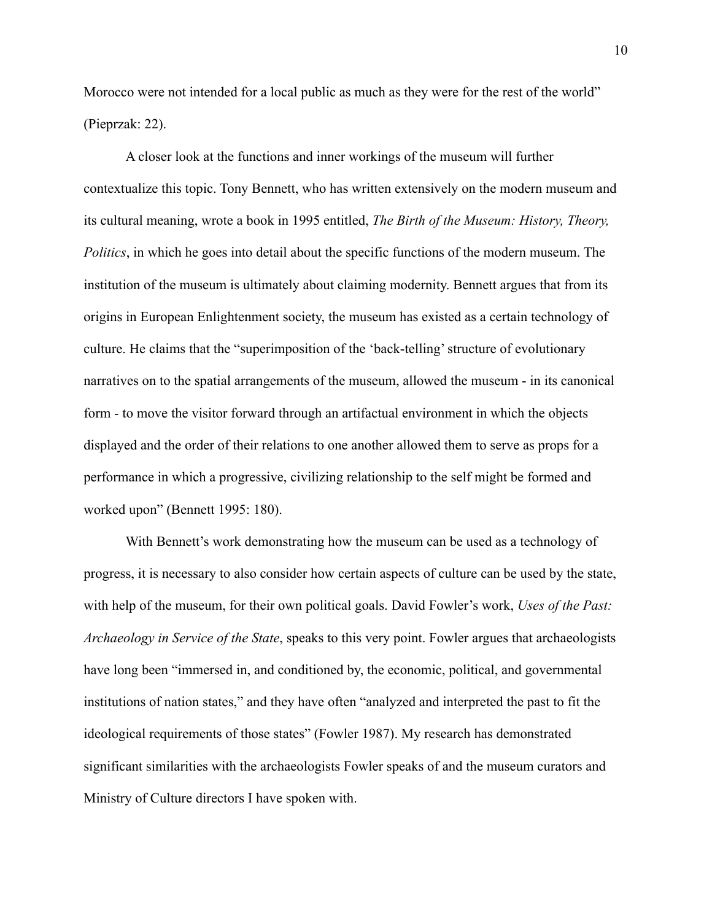Morocco were not intended for a local public as much as they were for the rest of the world" (Pieprzak: 22).

A closer look at the functions and inner workings of the museum will further contextualize this topic. Tony Bennett, who has written extensively on the modern museum and its cultural meaning, wrote a book in 1995 entitled, *The Birth of the Museum: History, Theory, Politics*, in which he goes into detail about the specific functions of the modern museum. The institution of the museum is ultimately about claiming modernity. Bennett argues that from its origins in European Enlightenment society, the museum has existed as a certain technology of culture. He claims that the "superimposition of the 'back-telling' structure of evolutionary narratives on to the spatial arrangements of the museum, allowed the museum - in its canonical form - to move the visitor forward through an artifactual environment in which the objects displayed and the order of their relations to one another allowed them to serve as props for a performance in which a progressive, civilizing relationship to the self might be formed and worked upon" (Bennett 1995: 180).

With Bennett's work demonstrating how the museum can be used as a technology of progress, it is necessary to also consider how certain aspects of culture can be used by the state, with help of the museum, for their own political goals. David Fowler's work, *Uses of the Past: Archaeology in Service of the State*, speaks to this very point. Fowler argues that archaeologists have long been "immersed in, and conditioned by, the economic, political, and governmental institutions of nation states," and they have often "analyzed and interpreted the past to fit the ideological requirements of those states" (Fowler 1987). My research has demonstrated significant similarities with the archaeologists Fowler speaks of and the museum curators and Ministry of Culture directors I have spoken with.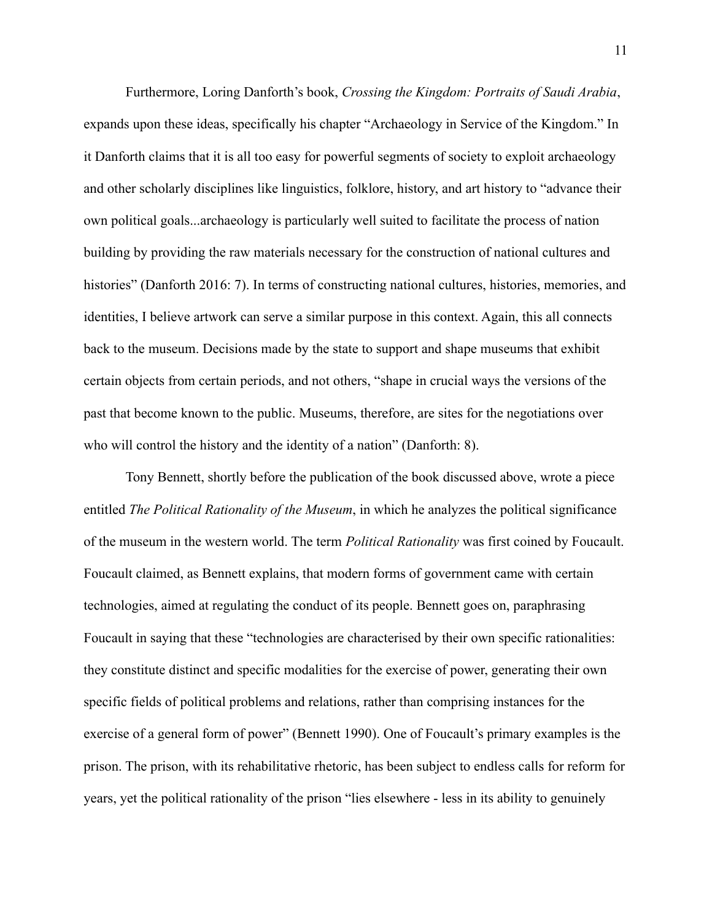Furthermore, Loring Danforth's book, *Crossing the Kingdom: Portraits of Saudi Arabia*, expands upon these ideas, specifically his chapter "Archaeology in Service of the Kingdom." In it Danforth claims that it is all too easy for powerful segments of society to exploit archaeology and other scholarly disciplines like linguistics, folklore, history, and art history to "advance their own political goals...archaeology is particularly well suited to facilitate the process of nation building by providing the raw materials necessary for the construction of national cultures and histories" (Danforth 2016: 7). In terms of constructing national cultures, histories, memories, and identities, I believe artwork can serve a similar purpose in this context. Again, this all connects back to the museum. Decisions made by the state to support and shape museums that exhibit certain objects from certain periods, and not others, "shape in crucial ways the versions of the past that become known to the public. Museums, therefore, are sites for the negotiations over who will control the history and the identity of a nation" (Danforth: 8).

Tony Bennett, shortly before the publication of the book discussed above, wrote a piece entitled *The Political Rationality of the Museum*, in which he analyzes the political significance of the museum in the western world. The term *Political Rationality* was first coined by Foucault. Foucault claimed, as Bennett explains, that modern forms of government came with certain technologies, aimed at regulating the conduct of its people. Bennett goes on, paraphrasing Foucault in saying that these "technologies are characterised by their own specific rationalities: they constitute distinct and specific modalities for the exercise of power, generating their own specific fields of political problems and relations, rather than comprising instances for the exercise of a general form of power" (Bennett 1990). One of Foucault's primary examples is the prison. The prison, with its rehabilitative rhetoric, has been subject to endless calls for reform for years, yet the political rationality of the prison "lies elsewhere - less in its ability to genuinely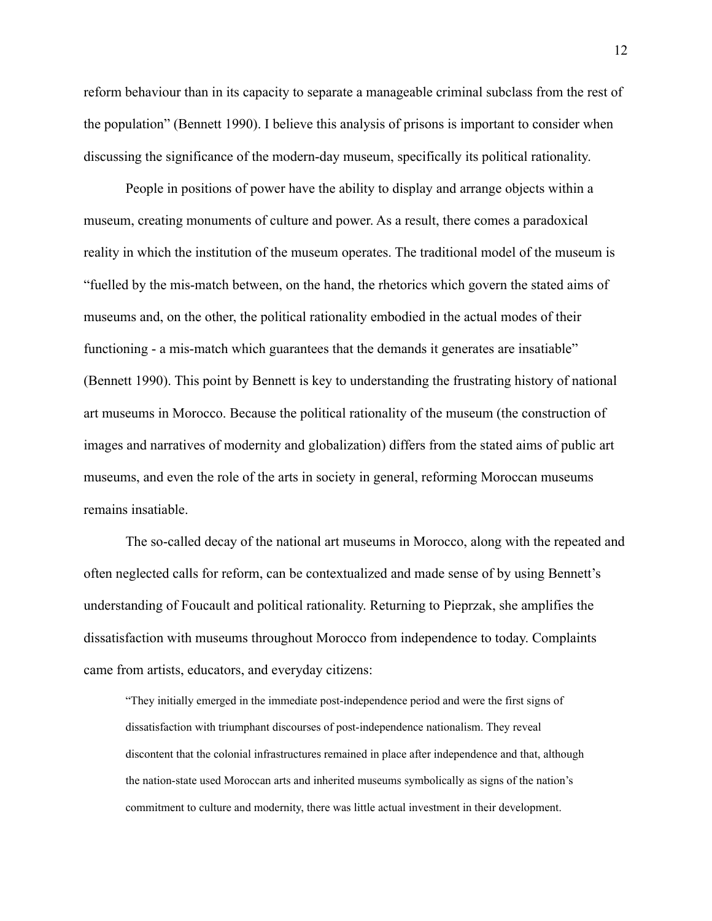reform behaviour than in its capacity to separate a manageable criminal subclass from the rest of the population" (Bennett 1990). I believe this analysis of prisons is important to consider when discussing the significance of the modern-day museum, specifically its political rationality.

People in positions of power have the ability to display and arrange objects within a museum, creating monuments of culture and power. As a result, there comes a paradoxical reality in which the institution of the museum operates. The traditional model of the museum is "fuelled by the mis-match between, on the hand, the rhetorics which govern the stated aims of museums and, on the other, the political rationality embodied in the actual modes of their functioning - a mis-match which guarantees that the demands it generates are insatiable" (Bennett 1990). This point by Bennett is key to understanding the frustrating history of national art museums in Morocco. Because the political rationality of the museum (the construction of images and narratives of modernity and globalization) differs from the stated aims of public art museums, and even the role of the arts in society in general, reforming Moroccan museums remains insatiable.

The so-called decay of the national art museums in Morocco, along with the repeated and often neglected calls for reform, can be contextualized and made sense of by using Bennett's understanding of Foucault and political rationality. Returning to Pieprzak, she amplifies the dissatisfaction with museums throughout Morocco from independence to today. Complaints came from artists, educators, and everyday citizens:

"They initially emerged in the immediate post-independence period and were the first signs of dissatisfaction with triumphant discourses of post-independence nationalism. They reveal discontent that the colonial infrastructures remained in place after independence and that, although the nation-state used Moroccan arts and inherited museums symbolically as signs of the nation's commitment to culture and modernity, there was little actual investment in their development.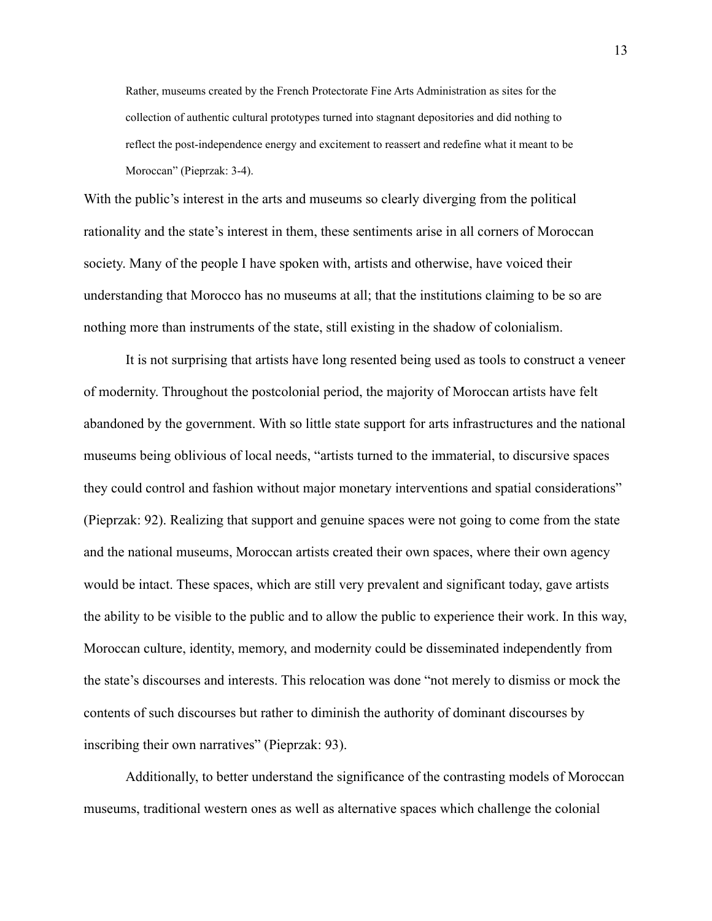Rather, museums created by the French Protectorate Fine Arts Administration as sites for the collection of authentic cultural prototypes turned into stagnant depositories and did nothing to reflect the post-independence energy and excitement to reassert and redefine what it meant to be Moroccan" (Pieprzak: 3-4).

With the public's interest in the arts and museums so clearly diverging from the political rationality and the state's interest in them, these sentiments arise in all corners of Moroccan society. Many of the people I have spoken with, artists and otherwise, have voiced their understanding that Morocco has no museums at all; that the institutions claiming to be so are nothing more than instruments of the state, still existing in the shadow of colonialism.

It is not surprising that artists have long resented being used as tools to construct a veneer of modernity. Throughout the postcolonial period, the majority of Moroccan artists have felt abandoned by the government. With so little state support for arts infrastructures and the national museums being oblivious of local needs, "artists turned to the immaterial, to discursive spaces they could control and fashion without major monetary interventions and spatial considerations" (Pieprzak: 92). Realizing that support and genuine spaces were not going to come from the state and the national museums, Moroccan artists created their own spaces, where their own agency would be intact. These spaces, which are still very prevalent and significant today, gave artists the ability to be visible to the public and to allow the public to experience their work. In this way, Moroccan culture, identity, memory, and modernity could be disseminated independently from the state's discourses and interests. This relocation was done "not merely to dismiss or mock the contents of such discourses but rather to diminish the authority of dominant discourses by inscribing their own narratives" (Pieprzak: 93).

Additionally, to better understand the significance of the contrasting models of Moroccan museums, traditional western ones as well as alternative spaces which challenge the colonial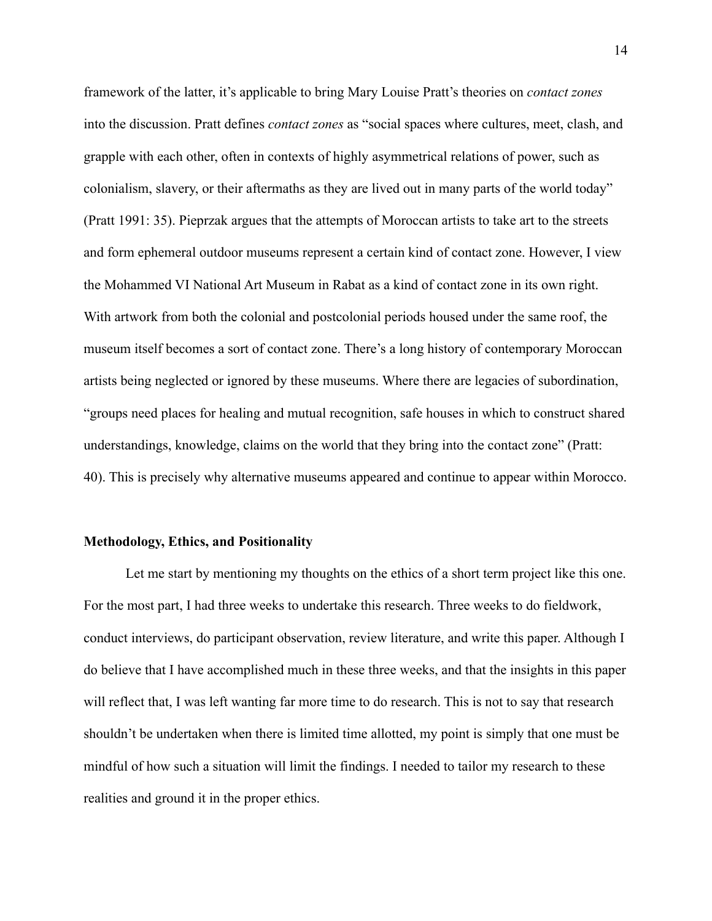framework of the latter, it's applicable to bring Mary Louise Pratt's theories on *contact zones* into the discussion. Pratt defines *contact zones* as "social spaces where cultures, meet, clash, and grapple with each other, often in contexts of highly asymmetrical relations of power, such as colonialism, slavery, or their aftermaths as they are lived out in many parts of the world today" (Pratt 1991: 35). Pieprzak argues that the attempts of Moroccan artists to take art to the streets and form ephemeral outdoor museums represent a certain kind of contact zone. However, I view the Mohammed VI National Art Museum in Rabat as a kind of contact zone in its own right. With artwork from both the colonial and postcolonial periods housed under the same roof, the museum itself becomes a sort of contact zone. There's a long history of contemporary Moroccan artists being neglected or ignored by these museums. Where there are legacies of subordination, "groups need places for healing and mutual recognition, safe houses in which to construct shared understandings, knowledge, claims on the world that they bring into the contact zone" (Pratt: 40). This is precisely why alternative museums appeared and continue to appear within Morocco.

#### **Methodology, Ethics, and Positionality**

Let me start by mentioning my thoughts on the ethics of a short term project like this one. For the most part, I had three weeks to undertake this research. Three weeks to do fieldwork, conduct interviews, do participant observation, review literature, and write this paper. Although I do believe that I have accomplished much in these three weeks, and that the insights in this paper will reflect that, I was left wanting far more time to do research. This is not to say that research shouldn't be undertaken when there is limited time allotted, my point is simply that one must be mindful of how such a situation will limit the findings. I needed to tailor my research to these realities and ground it in the proper ethics.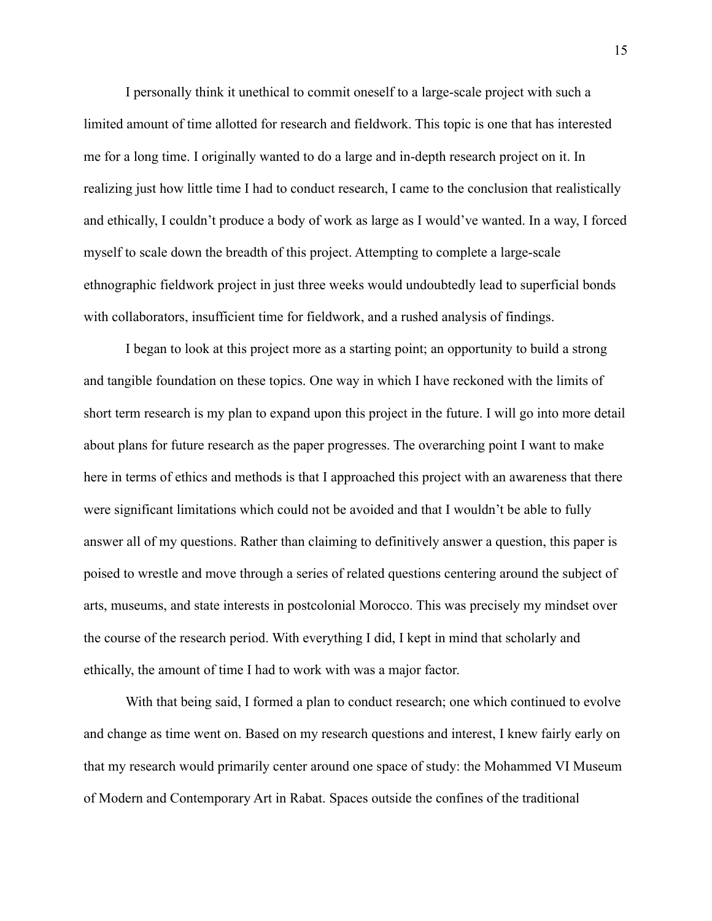I personally think it unethical to commit oneself to a large-scale project with such a limited amount of time allotted for research and fieldwork. This topic is one that has interested me for a long time. I originally wanted to do a large and in-depth research project on it. In realizing just how little time I had to conduct research, I came to the conclusion that realistically and ethically, I couldn't produce a body of work as large as I would've wanted. In a way, I forced myself to scale down the breadth of this project. Attempting to complete a large-scale ethnographic fieldwork project in just three weeks would undoubtedly lead to superficial bonds with collaborators, insufficient time for fieldwork, and a rushed analysis of findings.

I began to look at this project more as a starting point; an opportunity to build a strong and tangible foundation on these topics. One way in which I have reckoned with the limits of short term research is my plan to expand upon this project in the future. I will go into more detail about plans for future research as the paper progresses. The overarching point I want to make here in terms of ethics and methods is that I approached this project with an awareness that there were significant limitations which could not be avoided and that I wouldn't be able to fully answer all of my questions. Rather than claiming to definitively answer a question, this paper is poised to wrestle and move through a series of related questions centering around the subject of arts, museums, and state interests in postcolonial Morocco. This was precisely my mindset over the course of the research period. With everything I did, I kept in mind that scholarly and ethically, the amount of time I had to work with was a major factor.

With that being said, I formed a plan to conduct research; one which continued to evolve and change as time went on. Based on my research questions and interest, I knew fairly early on that my research would primarily center around one space of study: the Mohammed VI Museum of Modern and Contemporary Art in Rabat. Spaces outside the confines of the traditional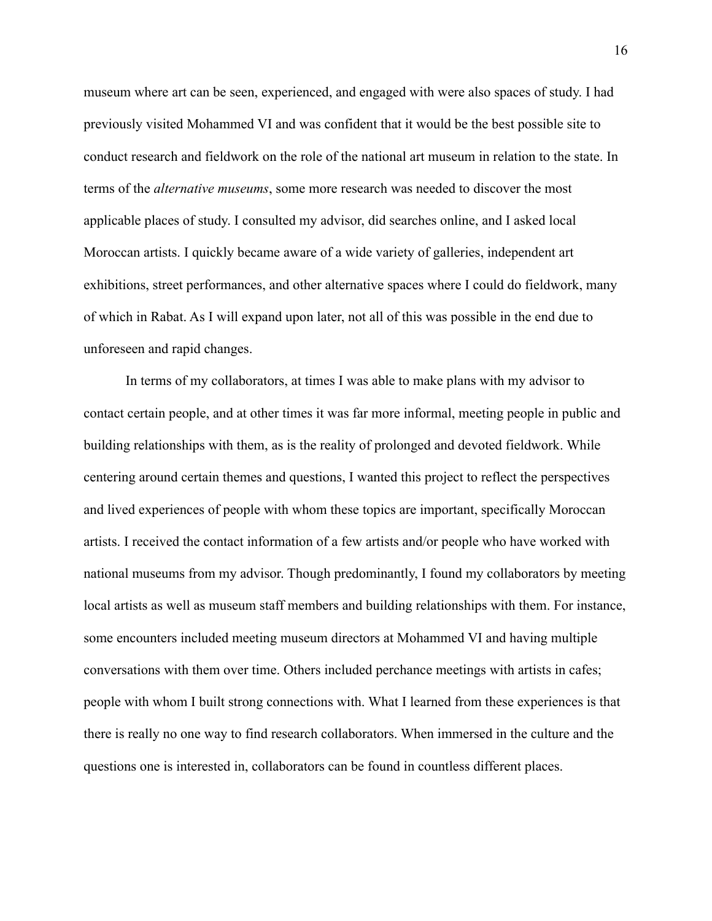museum where art can be seen, experienced, and engaged with were also spaces of study. I had previously visited Mohammed VI and was confident that it would be the best possible site to conduct research and fieldwork on the role of the national art museum in relation to the state. In terms of the *alternative museums*, some more research was needed to discover the most applicable places of study. I consulted my advisor, did searches online, and I asked local Moroccan artists. I quickly became aware of a wide variety of galleries, independent art exhibitions, street performances, and other alternative spaces where I could do fieldwork, many of which in Rabat. As I will expand upon later, not all of this was possible in the end due to unforeseen and rapid changes.

In terms of my collaborators, at times I was able to make plans with my advisor to contact certain people, and at other times it was far more informal, meeting people in public and building relationships with them, as is the reality of prolonged and devoted fieldwork. While centering around certain themes and questions, I wanted this project to reflect the perspectives and lived experiences of people with whom these topics are important, specifically Moroccan artists. I received the contact information of a few artists and/or people who have worked with national museums from my advisor. Though predominantly, I found my collaborators by meeting local artists as well as museum staff members and building relationships with them. For instance, some encounters included meeting museum directors at Mohammed VI and having multiple conversations with them over time. Others included perchance meetings with artists in cafes; people with whom I built strong connections with. What I learned from these experiences is that there is really no one way to find research collaborators. When immersed in the culture and the questions one is interested in, collaborators can be found in countless different places.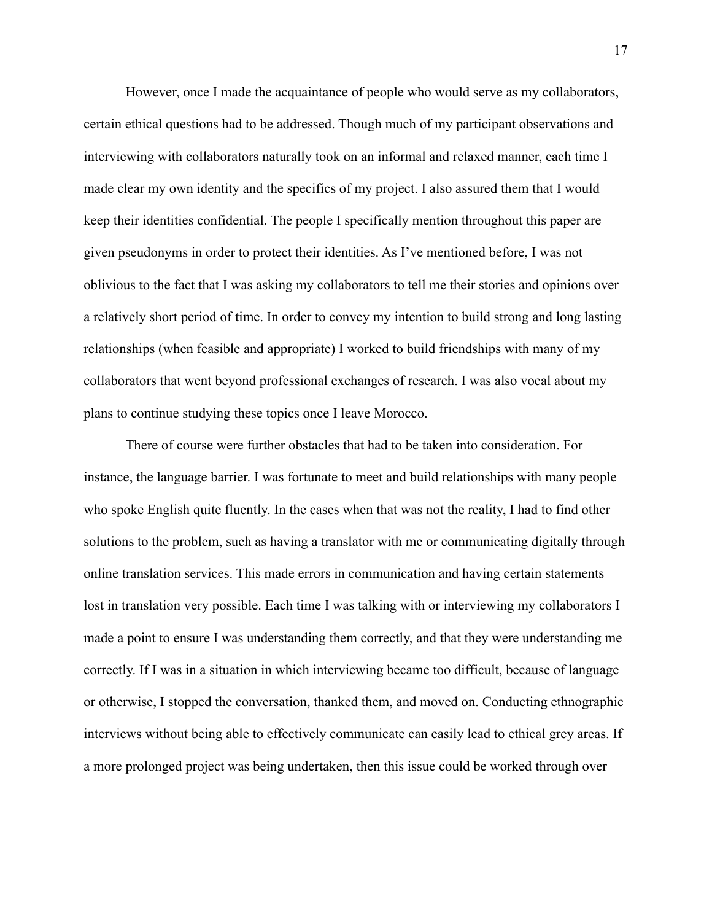However, once I made the acquaintance of people who would serve as my collaborators, certain ethical questions had to be addressed. Though much of my participant observations and interviewing with collaborators naturally took on an informal and relaxed manner, each time I made clear my own identity and the specifics of my project. I also assured them that I would keep their identities confidential. The people I specifically mention throughout this paper are given pseudonyms in order to protect their identities. As I've mentioned before, I was not oblivious to the fact that I was asking my collaborators to tell me their stories and opinions over a relatively short period of time. In order to convey my intention to build strong and long lasting relationships (when feasible and appropriate) I worked to build friendships with many of my collaborators that went beyond professional exchanges of research. I was also vocal about my plans to continue studying these topics once I leave Morocco.

There of course were further obstacles that had to be taken into consideration. For instance, the language barrier. I was fortunate to meet and build relationships with many people who spoke English quite fluently. In the cases when that was not the reality, I had to find other solutions to the problem, such as having a translator with me or communicating digitally through online translation services. This made errors in communication and having certain statements lost in translation very possible. Each time I was talking with or interviewing my collaborators I made a point to ensure I was understanding them correctly, and that they were understanding me correctly. If I was in a situation in which interviewing became too difficult, because of language or otherwise, I stopped the conversation, thanked them, and moved on. Conducting ethnographic interviews without being able to effectively communicate can easily lead to ethical grey areas. If a more prolonged project was being undertaken, then this issue could be worked through over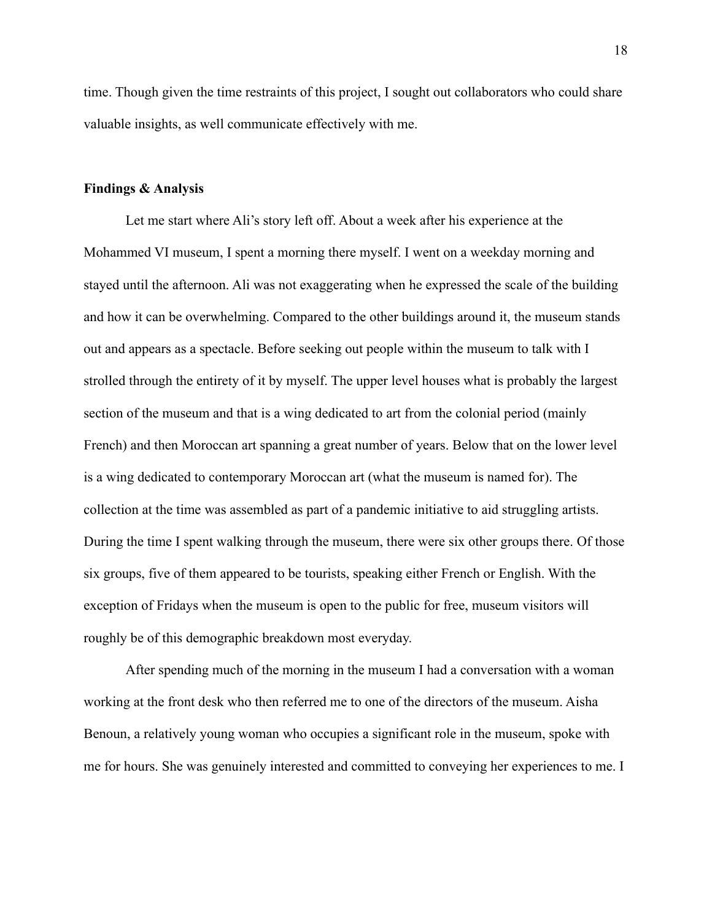time. Though given the time restraints of this project, I sought out collaborators who could share valuable insights, as well communicate effectively with me.

#### **Findings & Analysis**

Let me start where Ali's story left off. About a week after his experience at the Mohammed VI museum, I spent a morning there myself. I went on a weekday morning and stayed until the afternoon. Ali was not exaggerating when he expressed the scale of the building and how it can be overwhelming. Compared to the other buildings around it, the museum stands out and appears as a spectacle. Before seeking out people within the museum to talk with I strolled through the entirety of it by myself. The upper level houses what is probably the largest section of the museum and that is a wing dedicated to art from the colonial period (mainly French) and then Moroccan art spanning a great number of years. Below that on the lower level is a wing dedicated to contemporary Moroccan art (what the museum is named for). The collection at the time was assembled as part of a pandemic initiative to aid struggling artists. During the time I spent walking through the museum, there were six other groups there. Of those six groups, five of them appeared to be tourists, speaking either French or English. With the exception of Fridays when the museum is open to the public for free, museum visitors will roughly be of this demographic breakdown most everyday.

After spending much of the morning in the museum I had a conversation with a woman working at the front desk who then referred me to one of the directors of the museum. Aisha Benoun, a relatively young woman who occupies a significant role in the museum, spoke with me for hours. She was genuinely interested and committed to conveying her experiences to me. I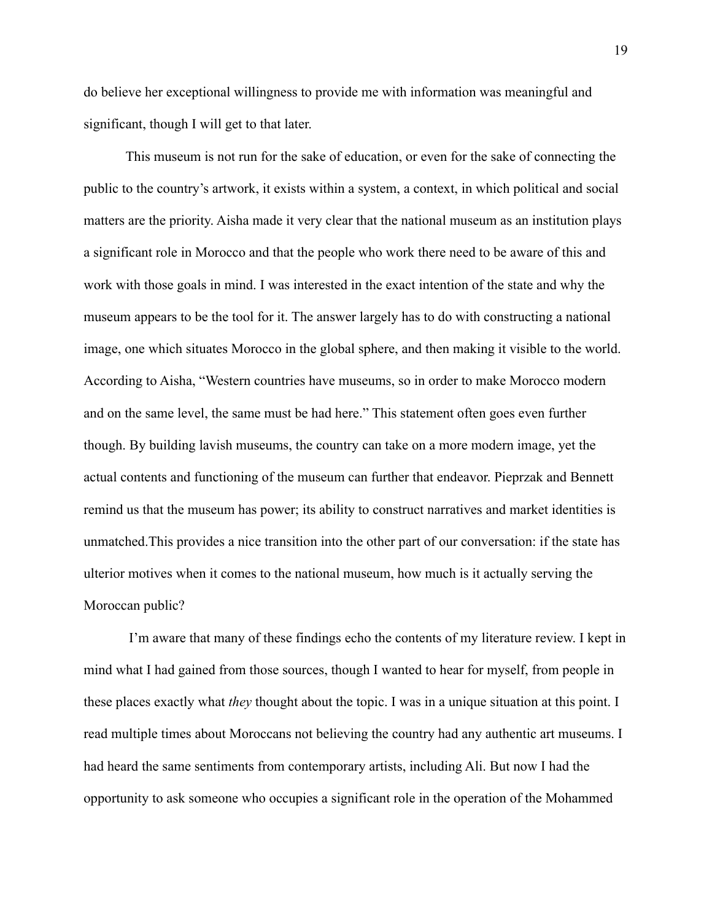do believe her exceptional willingness to provide me with information was meaningful and significant, though I will get to that later.

This museum is not run for the sake of education, or even for the sake of connecting the public to the country's artwork, it exists within a system, a context, in which political and social matters are the priority. Aisha made it very clear that the national museum as an institution plays a significant role in Morocco and that the people who work there need to be aware of this and work with those goals in mind. I was interested in the exact intention of the state and why the museum appears to be the tool for it. The answer largely has to do with constructing a national image, one which situates Morocco in the global sphere, and then making it visible to the world. According to Aisha, "Western countries have museums, so in order to make Morocco modern and on the same level, the same must be had here." This statement often goes even further though. By building lavish museums, the country can take on a more modern image, yet the actual contents and functioning of the museum can further that endeavor. Pieprzak and Bennett remind us that the museum has power; its ability to construct narratives and market identities is unmatched.This provides a nice transition into the other part of our conversation: if the state has ulterior motives when it comes to the national museum, how much is it actually serving the Moroccan public?

I'm aware that many of these findings echo the contents of my literature review. I kept in mind what I had gained from those sources, though I wanted to hear for myself, from people in these places exactly what *they* thought about the topic. I was in a unique situation at this point. I read multiple times about Moroccans not believing the country had any authentic art museums. I had heard the same sentiments from contemporary artists, including Ali. But now I had the opportunity to ask someone who occupies a significant role in the operation of the Mohammed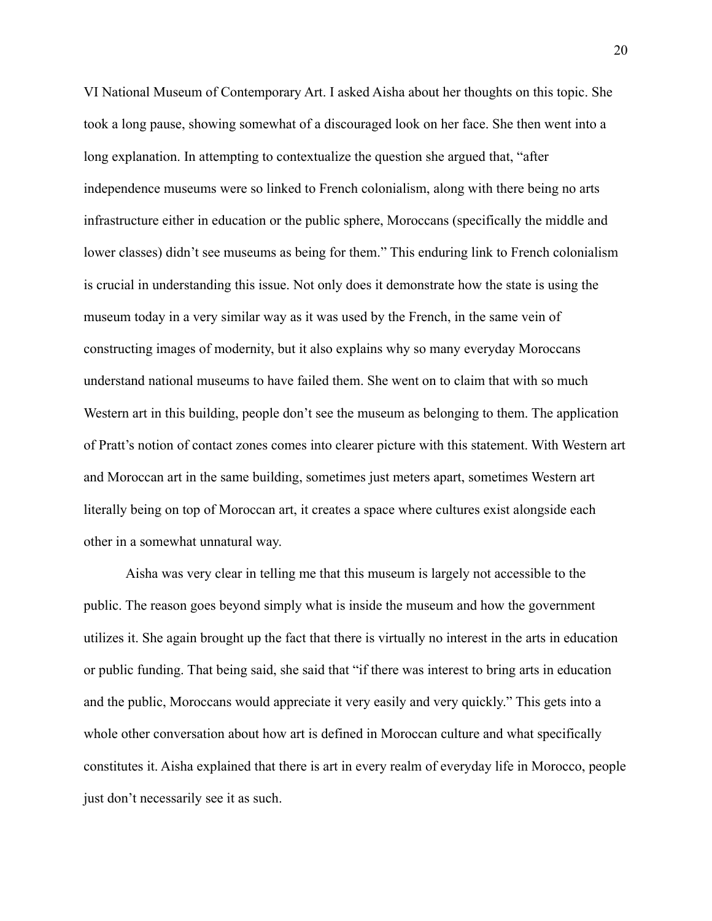VI National Museum of Contemporary Art. I asked Aisha about her thoughts on this topic. She took a long pause, showing somewhat of a discouraged look on her face. She then went into a long explanation. In attempting to contextualize the question she argued that, "after independence museums were so linked to French colonialism, along with there being no arts infrastructure either in education or the public sphere, Moroccans (specifically the middle and lower classes) didn't see museums as being for them." This enduring link to French colonialism is crucial in understanding this issue. Not only does it demonstrate how the state is using the museum today in a very similar way as it was used by the French, in the same vein of constructing images of modernity, but it also explains why so many everyday Moroccans understand national museums to have failed them. She went on to claim that with so much Western art in this building, people don't see the museum as belonging to them. The application of Pratt's notion of contact zones comes into clearer picture with this statement. With Western art and Moroccan art in the same building, sometimes just meters apart, sometimes Western art literally being on top of Moroccan art, it creates a space where cultures exist alongside each other in a somewhat unnatural way.

Aisha was very clear in telling me that this museum is largely not accessible to the public. The reason goes beyond simply what is inside the museum and how the government utilizes it. She again brought up the fact that there is virtually no interest in the arts in education or public funding. That being said, she said that "if there was interest to bring arts in education and the public, Moroccans would appreciate it very easily and very quickly." This gets into a whole other conversation about how art is defined in Moroccan culture and what specifically constitutes it. Aisha explained that there is art in every realm of everyday life in Morocco, people just don't necessarily see it as such.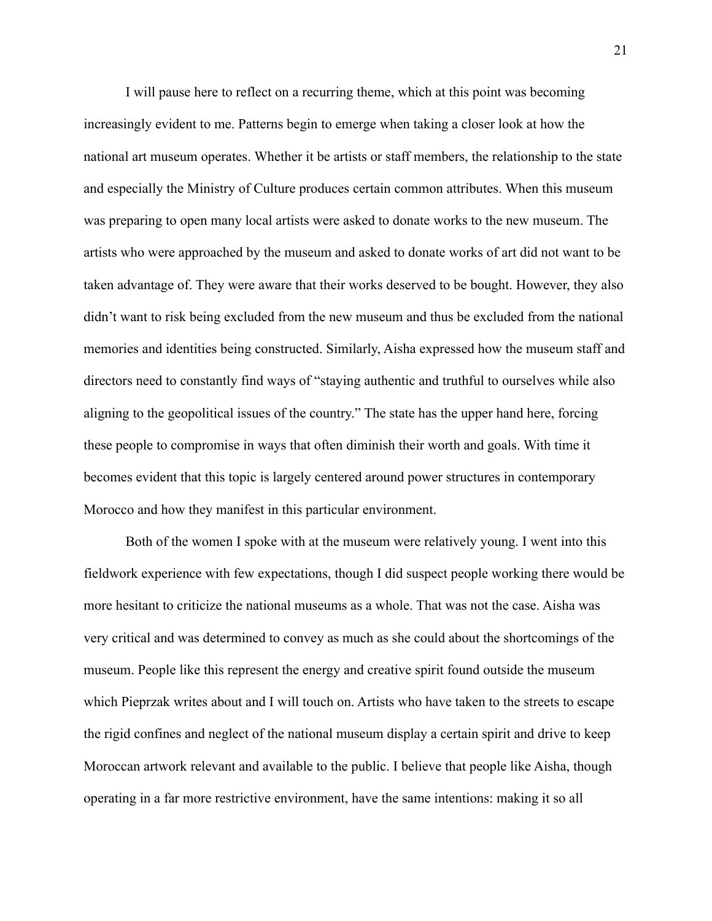I will pause here to reflect on a recurring theme, which at this point was becoming increasingly evident to me. Patterns begin to emerge when taking a closer look at how the national art museum operates. Whether it be artists or staff members, the relationship to the state and especially the Ministry of Culture produces certain common attributes. When this museum was preparing to open many local artists were asked to donate works to the new museum. The artists who were approached by the museum and asked to donate works of art did not want to be taken advantage of. They were aware that their works deserved to be bought. However, they also didn't want to risk being excluded from the new museum and thus be excluded from the national memories and identities being constructed. Similarly, Aisha expressed how the museum staff and directors need to constantly find ways of "staying authentic and truthful to ourselves while also aligning to the geopolitical issues of the country." The state has the upper hand here, forcing these people to compromise in ways that often diminish their worth and goals. With time it becomes evident that this topic is largely centered around power structures in contemporary Morocco and how they manifest in this particular environment.

Both of the women I spoke with at the museum were relatively young. I went into this fieldwork experience with few expectations, though I did suspect people working there would be more hesitant to criticize the national museums as a whole. That was not the case. Aisha was very critical and was determined to convey as much as she could about the shortcomings of the museum. People like this represent the energy and creative spirit found outside the museum which Pieprzak writes about and I will touch on. Artists who have taken to the streets to escape the rigid confines and neglect of the national museum display a certain spirit and drive to keep Moroccan artwork relevant and available to the public. I believe that people like Aisha, though operating in a far more restrictive environment, have the same intentions: making it so all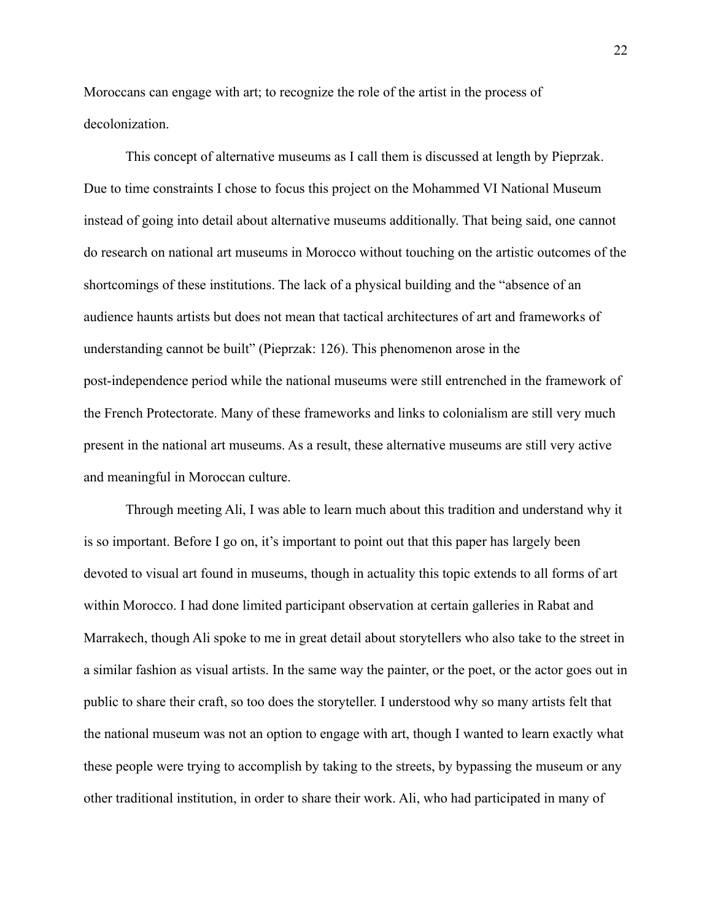Moroccans can engage with art; to recognize the role of the artist in the process of decolonization.

This concept of alternative museums as I call them is discussed at length by Pieprzak. Due to time constraints I chose to focus this project on the Mohammed VI National Museum instead of going into detail about alternative museums additionally. That being said, one cannot do research on national art museums in Morocco without touching on the artistic outcomes of the shortcomings of these institutions. The lack of a physical building and the "absence of an audience haunts artists but does not mean that tactical architectures of art and frameworks of understanding cannot be built" (Pieprzak: 126). This phenomenon arose in the post-independence period while the national museums were still entrenched in the framework of the French Protectorate. Many of these frameworks and links to colonialism are still very much present in the national art museums. As a result, these alternative museums are still very active and meaningful in Moroccan culture.

Through meeting Ali, I was able to learn much about this tradition and understand why it is so important. Before I go on, it's important to point out that this paper has largely been devoted to visual art found in museums, though in actuality this topic extends to all forms of art within Morocco. I had done limited participant observation at certain galleries in Rabat and Marrakech, though Ali spoke to me in great detail about storytellers who also take to the street in a similar fashion as visual artists. In the same way the painter, or the poet, or the actor goes out in public to share their craft, so too does the storyteller. I understood why so many artists felt that the national museum was not an option to engage with art, though I wanted to learn exactly what these people were trying to accomplish by taking to the streets, by bypassing the museum or any other traditional institution, in order to share their work. Ali, who had participated in many of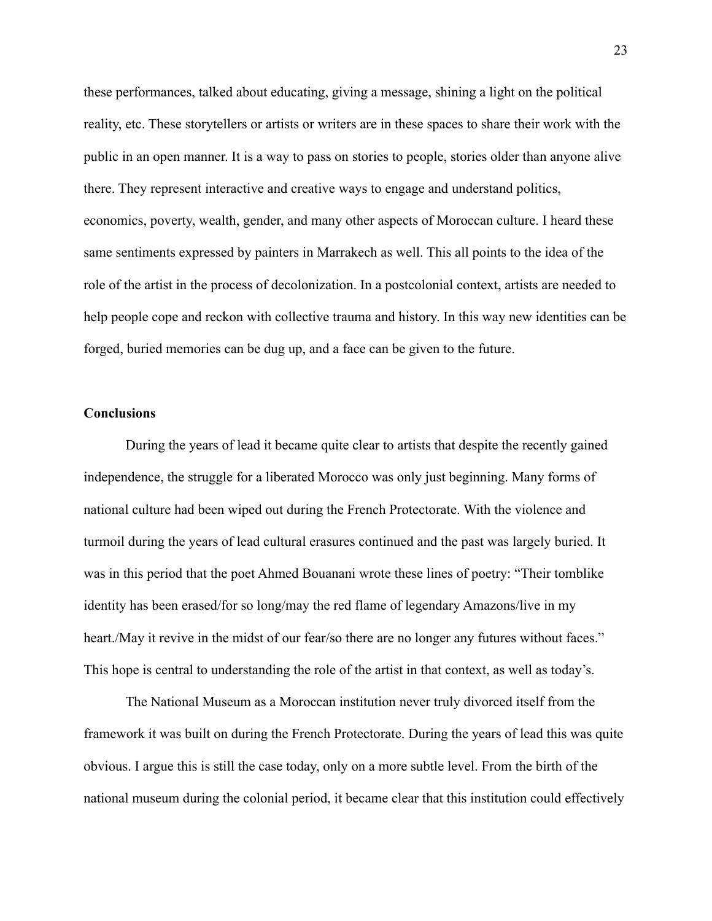these performances, talked about educating, giving a message, shining a light on the political reality, etc. These storytellers or artists or writers are in these spaces to share their work with the public in an open manner. It is a way to pass on stories to people, stories older than anyone alive there. They represent interactive and creative ways to engage and understand politics, economics, poverty, wealth, gender, and many other aspects of Moroccan culture. I heard these same sentiments expressed by painters in Marrakech as well. This all points to the idea of the role of the artist in the process of decolonization. In a postcolonial context, artists are needed to help people cope and reckon with collective trauma and history. In this way new identities can be forged, buried memories can be dug up, and a face can be given to the future.

#### **Conclusions**

During the years of lead it became quite clear to artists that despite the recently gained independence, the struggle for a liberated Morocco was only just beginning. Many forms of national culture had been wiped out during the French Protectorate. With the violence and turmoil during the years of lead cultural erasures continued and the past was largely buried. It was in this period that the poet Ahmed Bouanani wrote these lines of poetry: "Their tomblike identity has been erased/for so long/may the red flame of legendary Amazons/live in my heart./May it revive in the midst of our fear/so there are no longer any futures without faces." This hope is central to understanding the role of the artist in that context, as well as today's.

The National Museum as a Moroccan institution never truly divorced itself from the framework it was built on during the French Protectorate. During the years of lead this was quite obvious. I argue this is still the case today, only on a more subtle level. From the birth of the national museum during the colonial period, it became clear that this institution could effectively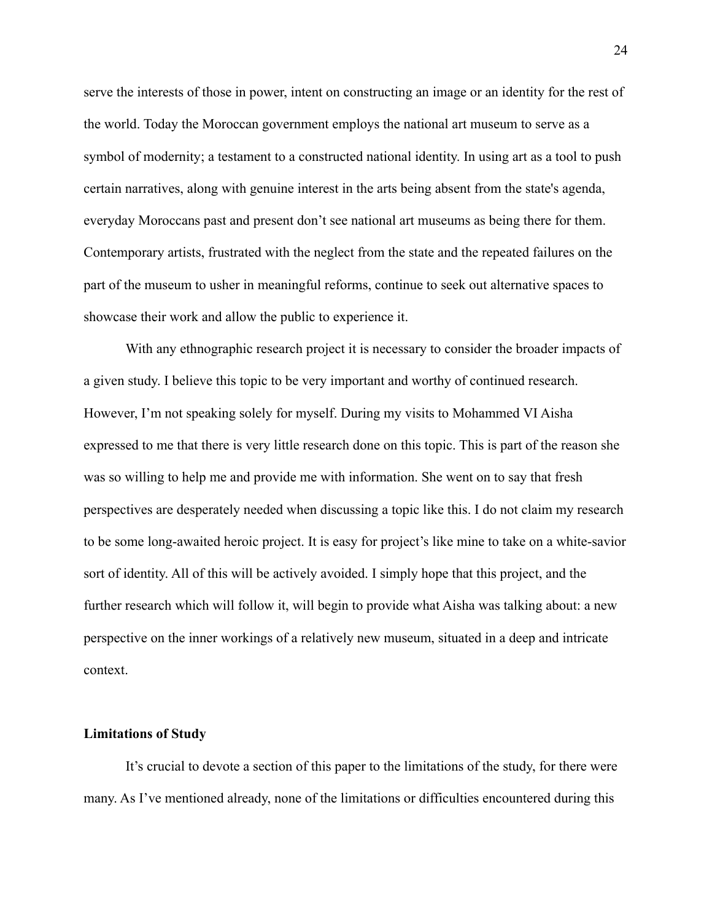serve the interests of those in power, intent on constructing an image or an identity for the rest of the world. Today the Moroccan government employs the national art museum to serve as a symbol of modernity; a testament to a constructed national identity. In using art as a tool to push certain narratives, along with genuine interest in the arts being absent from the state's agenda, everyday Moroccans past and present don't see national art museums as being there for them. Contemporary artists, frustrated with the neglect from the state and the repeated failures on the part of the museum to usher in meaningful reforms, continue to seek out alternative spaces to showcase their work and allow the public to experience it.

With any ethnographic research project it is necessary to consider the broader impacts of a given study. I believe this topic to be very important and worthy of continued research. However, I'm not speaking solely for myself. During my visits to Mohammed VI Aisha expressed to me that there is very little research done on this topic. This is part of the reason she was so willing to help me and provide me with information. She went on to say that fresh perspectives are desperately needed when discussing a topic like this. I do not claim my research to be some long-awaited heroic project. It is easy for project's like mine to take on a white-savior sort of identity. All of this will be actively avoided. I simply hope that this project, and the further research which will follow it, will begin to provide what Aisha was talking about: a new perspective on the inner workings of a relatively new museum, situated in a deep and intricate context.

#### **Limitations of Study**

It's crucial to devote a section of this paper to the limitations of the study, for there were many. As I've mentioned already, none of the limitations or difficulties encountered during this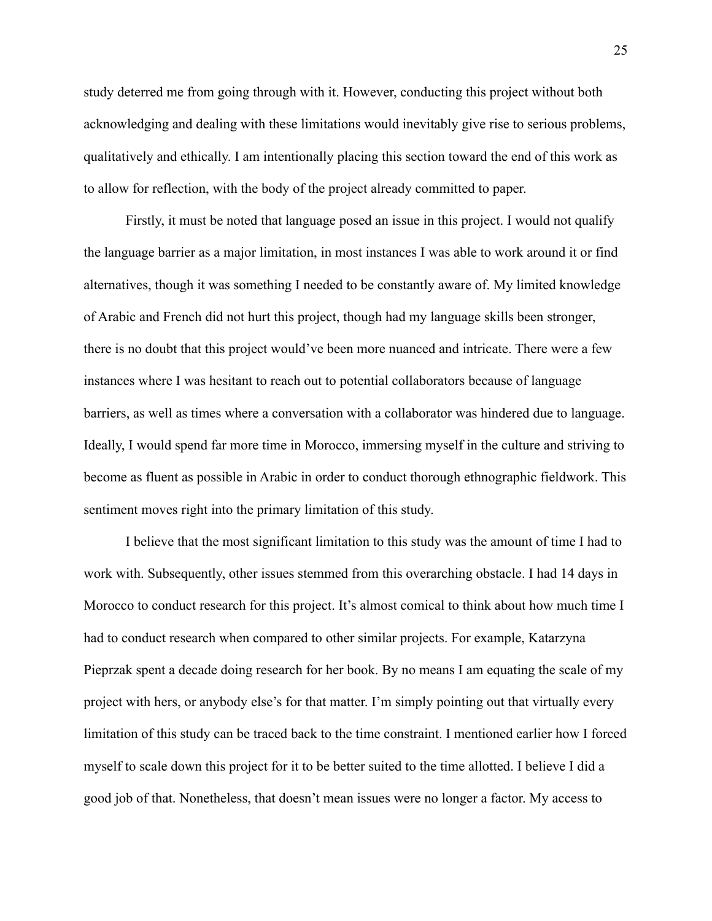study deterred me from going through with it. However, conducting this project without both acknowledging and dealing with these limitations would inevitably give rise to serious problems, qualitatively and ethically. I am intentionally placing this section toward the end of this work as to allow for reflection, with the body of the project already committed to paper.

Firstly, it must be noted that language posed an issue in this project. I would not qualify the language barrier as a major limitation, in most instances I was able to work around it or find alternatives, though it was something I needed to be constantly aware of. My limited knowledge of Arabic and French did not hurt this project, though had my language skills been stronger, there is no doubt that this project would've been more nuanced and intricate. There were a few instances where I was hesitant to reach out to potential collaborators because of language barriers, as well as times where a conversation with a collaborator was hindered due to language. Ideally, I would spend far more time in Morocco, immersing myself in the culture and striving to become as fluent as possible in Arabic in order to conduct thorough ethnographic fieldwork. This sentiment moves right into the primary limitation of this study.

I believe that the most significant limitation to this study was the amount of time I had to work with. Subsequently, other issues stemmed from this overarching obstacle. I had 14 days in Morocco to conduct research for this project. It's almost comical to think about how much time I had to conduct research when compared to other similar projects. For example, Katarzyna Pieprzak spent a decade doing research for her book. By no means I am equating the scale of my project with hers, or anybody else's for that matter. I'm simply pointing out that virtually every limitation of this study can be traced back to the time constraint. I mentioned earlier how I forced myself to scale down this project for it to be better suited to the time allotted. I believe I did a good job of that. Nonetheless, that doesn't mean issues were no longer a factor. My access to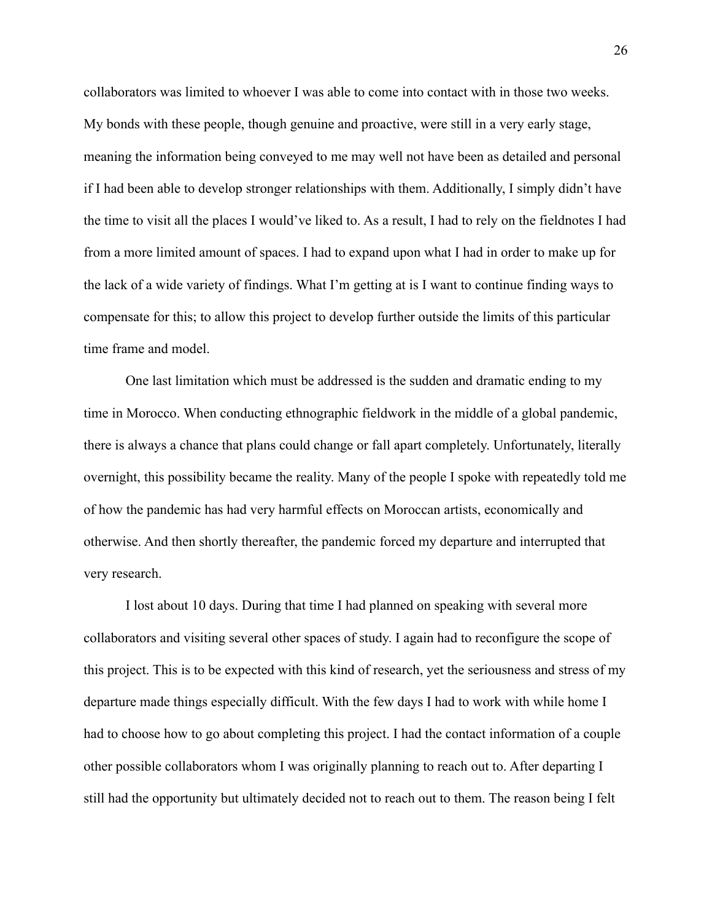collaborators was limited to whoever I was able to come into contact with in those two weeks. My bonds with these people, though genuine and proactive, were still in a very early stage, meaning the information being conveyed to me may well not have been as detailed and personal if I had been able to develop stronger relationships with them. Additionally, I simply didn't have the time to visit all the places I would've liked to. As a result, I had to rely on the fieldnotes I had from a more limited amount of spaces. I had to expand upon what I had in order to make up for the lack of a wide variety of findings. What I'm getting at is I want to continue finding ways to compensate for this; to allow this project to develop further outside the limits of this particular time frame and model.

One last limitation which must be addressed is the sudden and dramatic ending to my time in Morocco. When conducting ethnographic fieldwork in the middle of a global pandemic, there is always a chance that plans could change or fall apart completely. Unfortunately, literally overnight, this possibility became the reality. Many of the people I spoke with repeatedly told me of how the pandemic has had very harmful effects on Moroccan artists, economically and otherwise. And then shortly thereafter, the pandemic forced my departure and interrupted that very research.

I lost about 10 days. During that time I had planned on speaking with several more collaborators and visiting several other spaces of study. I again had to reconfigure the scope of this project. This is to be expected with this kind of research, yet the seriousness and stress of my departure made things especially difficult. With the few days I had to work with while home I had to choose how to go about completing this project. I had the contact information of a couple other possible collaborators whom I was originally planning to reach out to. After departing I still had the opportunity but ultimately decided not to reach out to them. The reason being I felt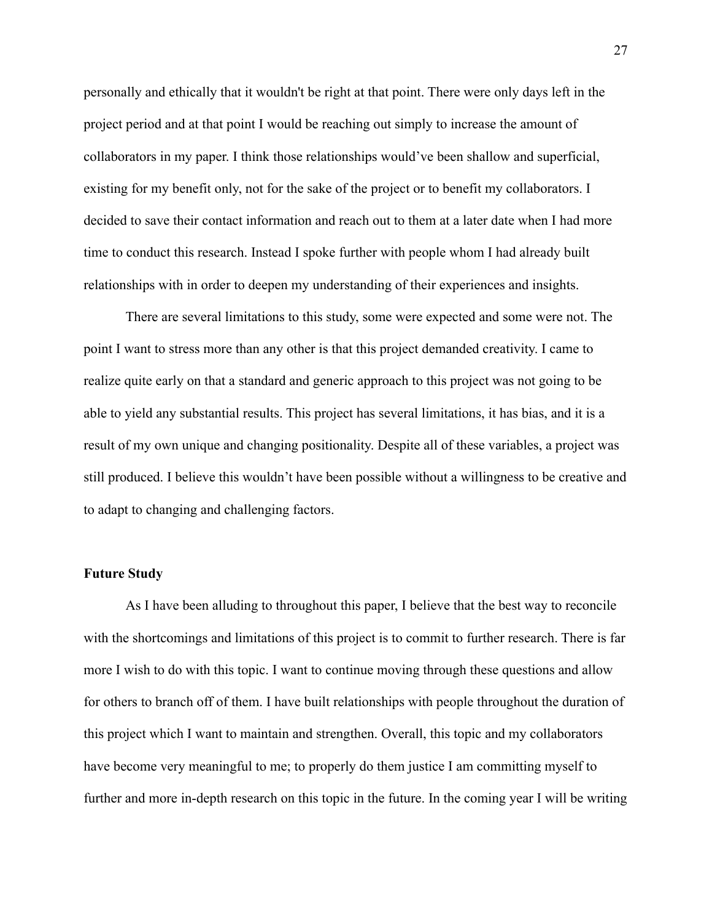personally and ethically that it wouldn't be right at that point. There were only days left in the project period and at that point I would be reaching out simply to increase the amount of collaborators in my paper. I think those relationships would've been shallow and superficial, existing for my benefit only, not for the sake of the project or to benefit my collaborators. I decided to save their contact information and reach out to them at a later date when I had more time to conduct this research. Instead I spoke further with people whom I had already built relationships with in order to deepen my understanding of their experiences and insights.

There are several limitations to this study, some were expected and some were not. The point I want to stress more than any other is that this project demanded creativity. I came to realize quite early on that a standard and generic approach to this project was not going to be able to yield any substantial results. This project has several limitations, it has bias, and it is a result of my own unique and changing positionality. Despite all of these variables, a project was still produced. I believe this wouldn't have been possible without a willingness to be creative and to adapt to changing and challenging factors.

#### **Future Study**

As I have been alluding to throughout this paper, I believe that the best way to reconcile with the shortcomings and limitations of this project is to commit to further research. There is far more I wish to do with this topic. I want to continue moving through these questions and allow for others to branch off of them. I have built relationships with people throughout the duration of this project which I want to maintain and strengthen. Overall, this topic and my collaborators have become very meaningful to me; to properly do them justice I am committing myself to further and more in-depth research on this topic in the future. In the coming year I will be writing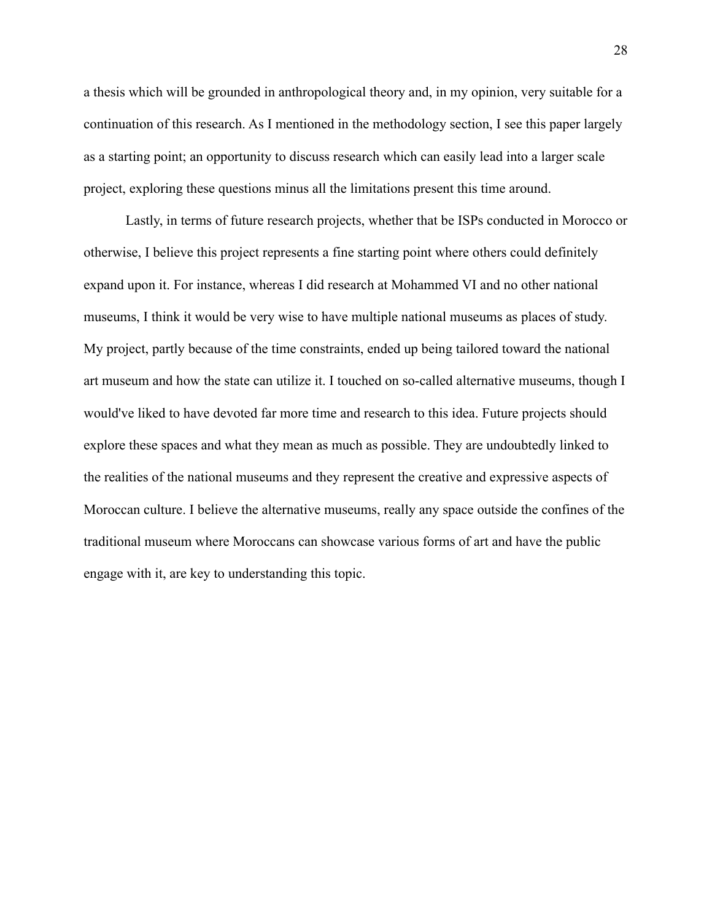a thesis which will be grounded in anthropological theory and, in my opinion, very suitable for a continuation of this research. As I mentioned in the methodology section, I see this paper largely as a starting point; an opportunity to discuss research which can easily lead into a larger scale project, exploring these questions minus all the limitations present this time around.

Lastly, in terms of future research projects, whether that be ISPs conducted in Morocco or otherwise, I believe this project represents a fine starting point where others could definitely expand upon it. For instance, whereas I did research at Mohammed VI and no other national museums, I think it would be very wise to have multiple national museums as places of study. My project, partly because of the time constraints, ended up being tailored toward the national art museum and how the state can utilize it. I touched on so-called alternative museums, though I would've liked to have devoted far more time and research to this idea. Future projects should explore these spaces and what they mean as much as possible. They are undoubtedly linked to the realities of the national museums and they represent the creative and expressive aspects of Moroccan culture. I believe the alternative museums, really any space outside the confines of the traditional museum where Moroccans can showcase various forms of art and have the public engage with it, are key to understanding this topic.